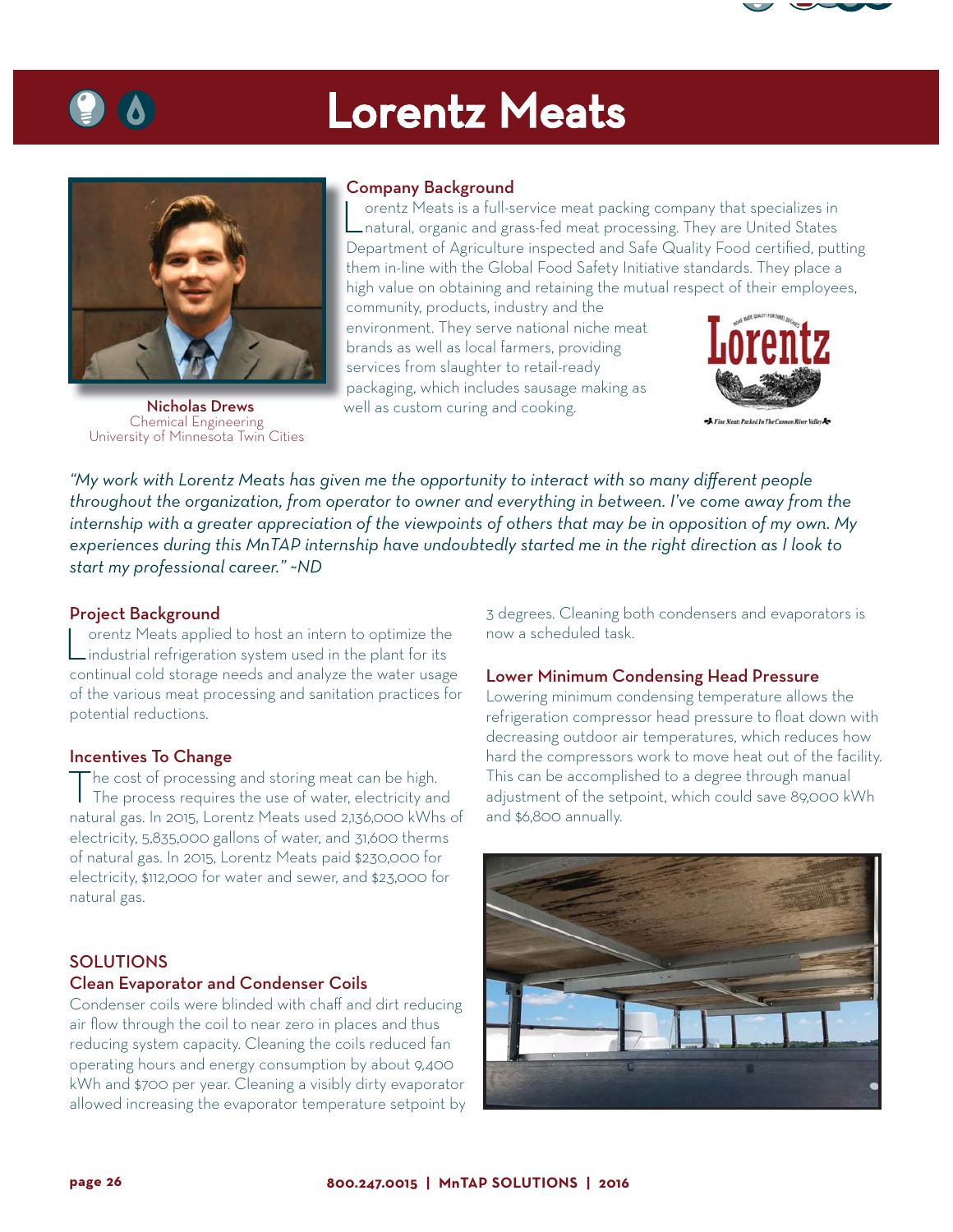

# Lorentz Meats



 Nicholas Drews Chemical Engineering University of Minnesota Twin Cities

## Company Background

Lorentz Meats is a full-service meat packing company that specializes in natural, organic and grass-fed meat processing. They are United States Department of Agriculture inspected and Safe Quality Food certified, putting them in-line with the Global Food Safety Initiative standards. They place a high value on obtaining and retaining the mutual respect of their employees,

community, products, industry and the environment. They serve national niche meat brands as well as local farmers, providing services from slaughter to retail-ready packaging, which includes sausage making as well as custom curing and cooking.



*"My work with Lorentz Meats has given me the opportunity to interact with so many different people throughout the organization, from operator to owner and everything in between. I've come away from the internship with a greater appreciation of the viewpoints of others that may be in opposition of my own. My experiences during this MnTAP internship have undoubtedly started me in the right direction as I look to start my professional career." ~ND*

### Project Background

Lorentz Meats applied to host an intern to optimize the industrial refrigeration system used in the plant for its continual cold storage needs and analyze the water usage of the various meat processing and sanitation practices for potential reductions.

#### Incentives To Change

The cost of processing and storing meat can be high. The process requires the use of water, electricity and natural gas. In 2015, Lorentz Meats used 2,136,000 kWhs of electricity, 5,835,000 gallons of water, and 31,600 therms of natural gas. In 2015, Lorentz Meats paid \$230,000 for electricity, \$112,000 for water and sewer, and \$23,000 for natural gas.

## **SOLUTIONS**

## Clean Evaporator and Condenser Coils

Condenser coils were blinded with chaff and dirt reducing air flow through the coil to near zero in places and thus reducing system capacity. Cleaning the coils reduced fan operating hours and energy consumption by about 9,400 kWh and \$700 per year. Cleaning a visibly dirty evaporator allowed increasing the evaporator temperature setpoint by 3 degrees. Cleaning both condensers and evaporators is now a scheduled task.

#### Lower Minimum Condensing Head Pressure

Lowering minimum condensing temperature allows the refrigeration compressor head pressure to float down with decreasing outdoor air temperatures, which reduces how hard the compressors work to move heat out of the facility. This can be accomplished to a degree through manual adjustment of the setpoint, which could save 89,000 kWh and \$6,800 annually.